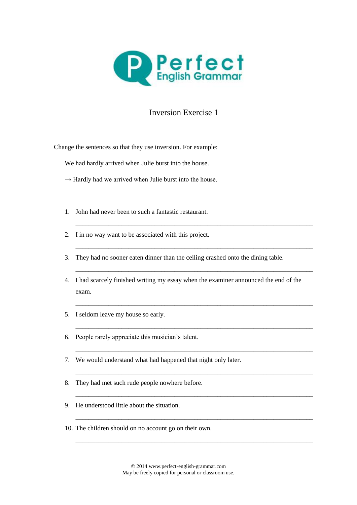

## Inversion Exercise 1

Change the sentences so that they use inversion. For example:

We had hardly arrived when Julie burst into the house.

- $\rightarrow$  Hardly had we arrived when Julie burst into the house.
- 1. John had never been to such a fantastic restaurant.
- 2. I in no way want to be associated with this project.
- 3. They had no sooner eaten dinner than the ceiling crashed onto the dining table.
- 4. I had scarcely finished writing my essay when the examiner announced the end of the exam.

\_\_\_\_\_\_\_\_\_\_\_\_\_\_\_\_\_\_\_\_\_\_\_\_\_\_\_\_\_\_\_\_\_\_\_\_\_\_\_\_\_\_\_\_\_\_\_\_\_\_\_\_\_\_\_\_\_\_\_\_\_\_\_\_\_\_\_\_\_\_\_\_

\_\_\_\_\_\_\_\_\_\_\_\_\_\_\_\_\_\_\_\_\_\_\_\_\_\_\_\_\_\_\_\_\_\_\_\_\_\_\_\_\_\_\_\_\_\_\_\_\_\_\_\_\_\_\_\_\_\_\_\_\_\_\_\_\_\_\_\_\_\_\_\_

\_\_\_\_\_\_\_\_\_\_\_\_\_\_\_\_\_\_\_\_\_\_\_\_\_\_\_\_\_\_\_\_\_\_\_\_\_\_\_\_\_\_\_\_\_\_\_\_\_\_\_\_\_\_\_\_\_\_\_\_\_\_\_\_\_\_\_\_\_\_\_\_

\_\_\_\_\_\_\_\_\_\_\_\_\_\_\_\_\_\_\_\_\_\_\_\_\_\_\_\_\_\_\_\_\_\_\_\_\_\_\_\_\_\_\_\_\_\_\_\_\_\_\_\_\_\_\_\_\_\_\_\_\_\_\_\_\_\_\_\_\_\_\_\_

\_\_\_\_\_\_\_\_\_\_\_\_\_\_\_\_\_\_\_\_\_\_\_\_\_\_\_\_\_\_\_\_\_\_\_\_\_\_\_\_\_\_\_\_\_\_\_\_\_\_\_\_\_\_\_\_\_\_\_\_\_\_\_\_\_\_\_\_\_\_\_\_

\_\_\_\_\_\_\_\_\_\_\_\_\_\_\_\_\_\_\_\_\_\_\_\_\_\_\_\_\_\_\_\_\_\_\_\_\_\_\_\_\_\_\_\_\_\_\_\_\_\_\_\_\_\_\_\_\_\_\_\_\_\_\_\_\_\_\_\_\_\_\_\_

\_\_\_\_\_\_\_\_\_\_\_\_\_\_\_\_\_\_\_\_\_\_\_\_\_\_\_\_\_\_\_\_\_\_\_\_\_\_\_\_\_\_\_\_\_\_\_\_\_\_\_\_\_\_\_\_\_\_\_\_\_\_\_\_\_\_\_\_\_\_\_\_

\_\_\_\_\_\_\_\_\_\_\_\_\_\_\_\_\_\_\_\_\_\_\_\_\_\_\_\_\_\_\_\_\_\_\_\_\_\_\_\_\_\_\_\_\_\_\_\_\_\_\_\_\_\_\_\_\_\_\_\_\_\_\_\_\_\_\_\_\_\_\_\_

\_\_\_\_\_\_\_\_\_\_\_\_\_\_\_\_\_\_\_\_\_\_\_\_\_\_\_\_\_\_\_\_\_\_\_\_\_\_\_\_\_\_\_\_\_\_\_\_\_\_\_\_\_\_\_\_\_\_\_\_\_\_\_\_\_\_\_\_\_\_\_\_

\_\_\_\_\_\_\_\_\_\_\_\_\_\_\_\_\_\_\_\_\_\_\_\_\_\_\_\_\_\_\_\_\_\_\_\_\_\_\_\_\_\_\_\_\_\_\_\_\_\_\_\_\_\_\_\_\_\_\_\_\_\_\_\_\_\_\_\_\_\_\_\_

- 5. I seldom leave my house so early.
- 6. People rarely appreciate this musician's talent.
- 7. We would understand what had happened that night only later.
- 8. They had met such rude people nowhere before.
- 9. He understood little about the situation.
- 10. The children should on no account go on their own.